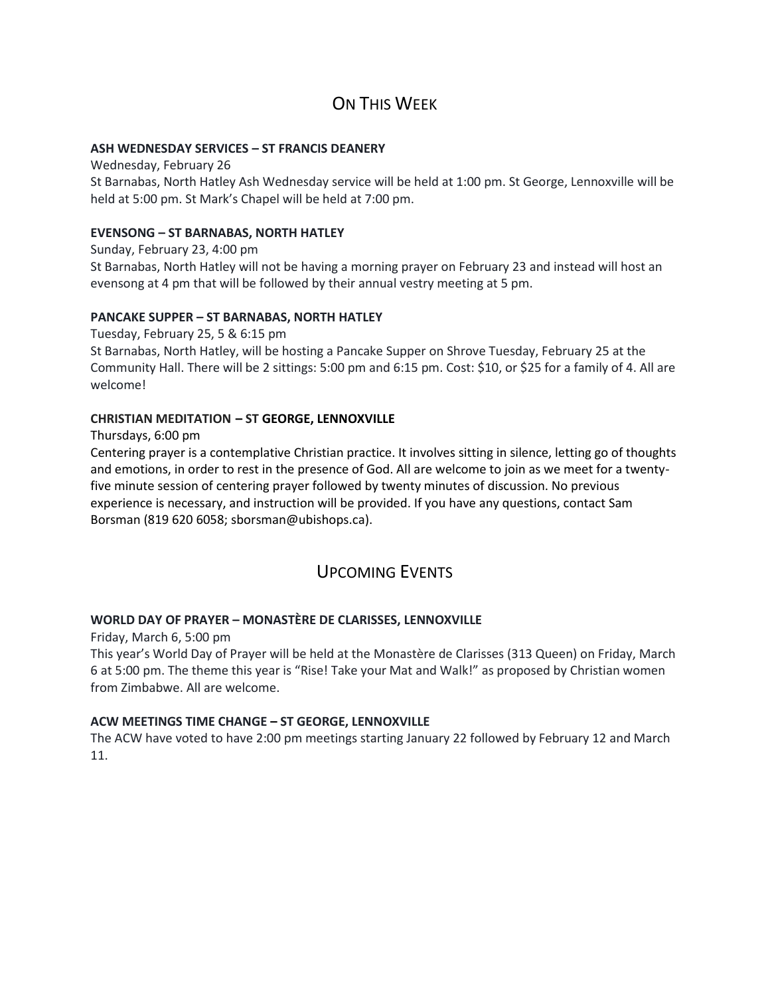# ON THIS WFFK

#### **ASH WEDNESDAY SERVICES – ST FRANCIS DEANERY**

Wednesday, February 26 St Barnabas, North Hatley Ash Wednesday service will be held at 1:00 pm. St George, Lennoxville will be held at 5:00 pm. St Mark's Chapel will be held at 7:00 pm.

#### **EVENSONG – ST BARNABAS, NORTH HATLEY**

Sunday, February 23, 4:00 pm St Barnabas, North Hatley will not be having a morning prayer on February 23 and instead will host an evensong at 4 pm that will be followed by their annual vestry meeting at 5 pm.

## **PANCAKE SUPPER – ST BARNABAS, NORTH HATLEY**

Tuesday, February 25, 5 & 6:15 pm St Barnabas, North Hatley, will be hosting a Pancake Supper on Shrove Tuesday, February 25 at the Community Hall. There will be 2 sittings: 5:00 pm and 6:15 pm. Cost: \$10, or \$25 for a family of 4. All are welcome!

## **CHRISTIAN MEDITATION – ST GEORGE, LENNOXVILLE**

Thursdays, 6:00 pm

Centering prayer is a contemplative Christian practice. It involves sitting in silence, letting go of thoughts and emotions, in order to rest in the presence of God. All are welcome to join as we meet for a twentyfive minute session of centering prayer followed by twenty minutes of discussion. No previous experience is necessary, and instruction will be provided. If you have any questions, contact Sam Borsman (819 620 6058; sborsman@ubishops.ca).

# UPCOMING EVENTS

## **WORLD DAY OF PRAYER – MONASTÈRE DE CLARISSES, LENNOXVILLE**

Friday, March 6, 5:00 pm

This year's World Day of Prayer will be held at the Monastère de Clarisses (313 Queen) on Friday, March 6 at 5:00 pm. The theme this year is "Rise! Take your Mat and Walk!" as proposed by Christian women from Zimbabwe. All are welcome.

#### **ACW MEETINGS TIME CHANGE – ST GEORGE, LENNOXVILLE**

The ACW have voted to have 2:00 pm meetings starting January 22 followed by February 12 and March 11.